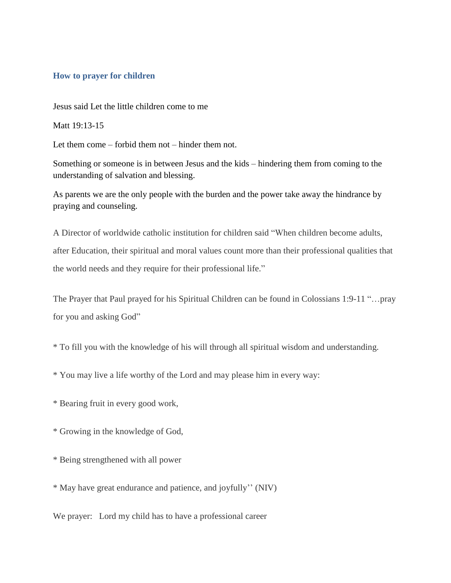## **How to prayer for children**

Jesus said Let the little children come to me

Matt 19:13-15

Let them come – forbid them not – hinder them not.

Something or someone is in between Jesus and the kids – hindering them from coming to the understanding of salvation and blessing.

As parents we are the only people with the burden and the power take away the hindrance by praying and counseling.

A Director of worldwide catholic institution for children said "When children become adults, after Education, their spiritual and moral values count more than their professional qualities that the world needs and they require for their professional life."

The Prayer that Paul prayed for his Spiritual Children can be found in Colossians 1:9-11 "…pray for you and asking God"

\* To fill you with the knowledge of his will through all spiritual wisdom and understanding.

\* You may live a life worthy of the Lord and may please him in every way:

- \* Bearing fruit in every good work,
- \* Growing in the knowledge of God,
- \* Being strengthened with all power

\* May have great endurance and patience, and joyfully'' (NIV)

We prayer: Lord my child has to have a professional career